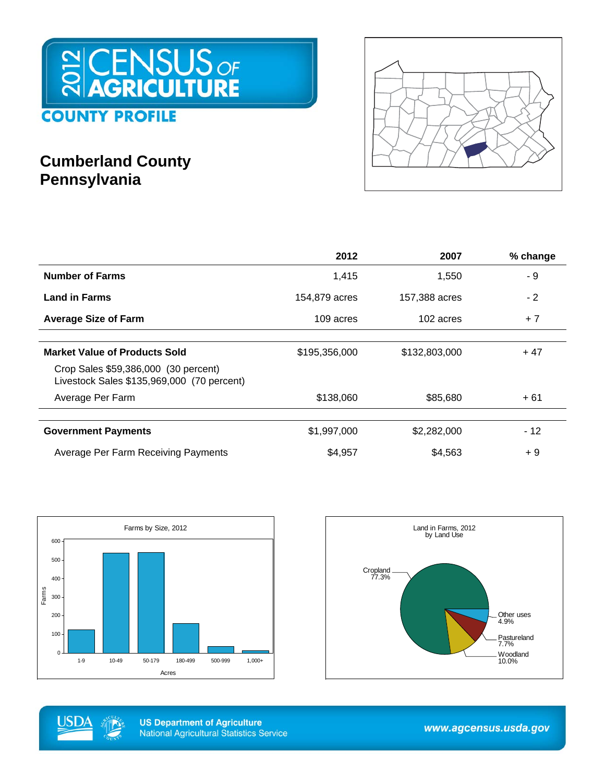

## **Cumberland County Pennsylvania**



|                                                                                    | 2012          | 2007          | % change |
|------------------------------------------------------------------------------------|---------------|---------------|----------|
| <b>Number of Farms</b>                                                             | 1,415         | 1,550         | - 9      |
| <b>Land in Farms</b>                                                               | 154,879 acres | 157,388 acres | $-2$     |
| <b>Average Size of Farm</b>                                                        | 109 acres     | 102 acres     | $+7$     |
|                                                                                    |               |               |          |
| <b>Market Value of Products Sold</b>                                               | \$195,356,000 | \$132,803,000 | $+47$    |
| Crop Sales \$59,386,000 (30 percent)<br>Livestock Sales \$135,969,000 (70 percent) |               |               |          |
| Average Per Farm                                                                   | \$138,060     | \$85,680      | + 61     |
|                                                                                    |               |               |          |
| <b>Government Payments</b>                                                         | \$1,997,000   | \$2,282,000   | - 12     |
| Average Per Farm Receiving Payments                                                | \$4,957       | \$4,563       | $+9$     |







**US Department of Agriculture National Agricultural Statistics Service** 

www.agcensus.usda.gov